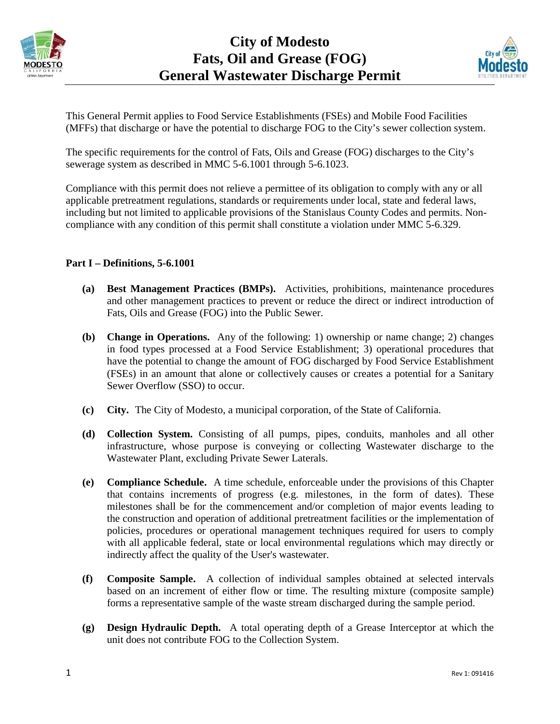



This General Permit applies to Food Service Establishments (FSEs) and Mobile Food Facilities (MFFs) that discharge or have the potential to discharge FOG to the City's sewer collection system.

The specific requirements for the control of Fats, Oils and Grease (FOG) discharges to the City's sewerage system as described in MMC 5-6.1001 through 5-6.1023.

Compliance with this permit does not relieve a permittee of its obligation to comply with any or all applicable pretreatment regulations, standards or requirements under local, state and federal laws, including but not limited to applicable provisions of the Stanislaus County Codes and permits. Noncompliance with any condition of this permit shall constitute a violation under MMC 5-6.329.

### **Part I – Definitions, 5-6.1001**

- **(a) Best Management Practices (BMPs).** Activities, prohibitions, maintenance procedures and other management practices to prevent or reduce the direct or indirect introduction of Fats, Oils and Grease (FOG) into the Public Sewer.
- **(b) Change in Operations.** Any of the following: 1) ownership or name change; 2) changes in food types processed at a Food Service Establishment; 3) operational procedures that have the potential to change the amount of FOG discharged by Food Service Establishment (FSEs) in an amount that alone or collectively causes or creates a potential for a Sanitary Sewer Overflow (SSO) to occur.
- **(c) City.** The City of Modesto, a municipal corporation, of the State of California.
- **(d) Collection System.** Consisting of all pumps, pipes, conduits, manholes and all other infrastructure, whose purpose is conveying or collecting Wastewater discharge to the Wastewater Plant, excluding Private Sewer Laterals.
- **(e) Compliance Schedule.** A time schedule, enforceable under the provisions of this Chapter that contains increments of progress (e.g. milestones, in the form of dates). These milestones shall be for the commencement and/or completion of major events leading to the construction and operation of additional pretreatment facilities or the implementation of policies, procedures or operational management techniques required for users to comply with all applicable federal, state or local environmental regulations which may directly or indirectly affect the quality of the User's wastewater.
- **(f) Composite Sample.** A collection of individual samples obtained at selected intervals based on an increment of either flow or time. The resulting mixture (composite sample) forms a representative sample of the waste stream discharged during the sample period.
- **(g) Design Hydraulic Depth.** A total operating depth of a Grease Interceptor at which the unit does not contribute FOG to the Collection System.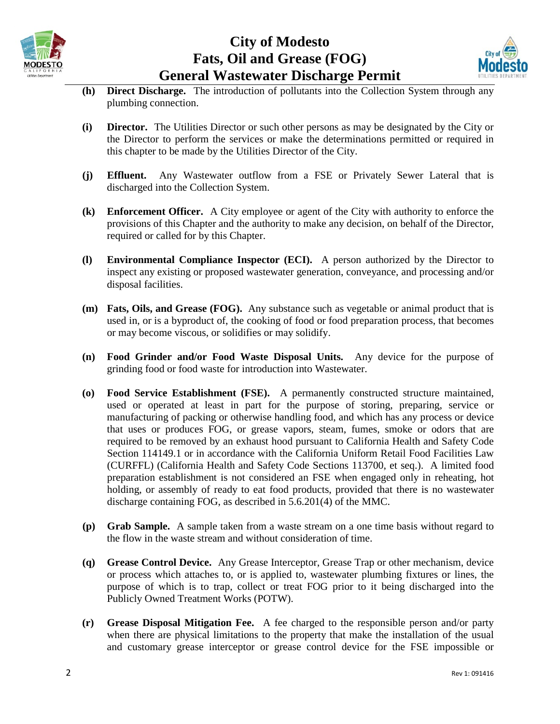



- **(h) Direct Discharge.** The introduction of pollutants into the Collection System through any plumbing connection.
- **(i) Director.** The Utilities Director or such other persons as may be designated by the City or the Director to perform the services or make the determinations permitted or required in this chapter to be made by the Utilities Director of the City.
- **(j) Effluent.** Any Wastewater outflow from a FSE or Privately Sewer Lateral that is discharged into the Collection System.
- **(k) Enforcement Officer.** A City employee or agent of the City with authority to enforce the provisions of this Chapter and the authority to make any decision, on behalf of the Director, required or called for by this Chapter.
- **(l) Environmental Compliance Inspector (ECI).** A person authorized by the Director to inspect any existing or proposed wastewater generation, conveyance, and processing and/or disposal facilities.
- **(m) Fats, Oils, and Grease (FOG).** Any substance such as vegetable or animal product that is used in, or is a byproduct of, the cooking of food or food preparation process, that becomes or may become viscous, or solidifies or may solidify.
- **(n) Food Grinder and/or Food Waste Disposal Units.** Any device for the purpose of grinding food or food waste for introduction into Wastewater.
- **(o) Food Service Establishment (FSE).** A permanently constructed structure maintained, used or operated at least in part for the purpose of storing, preparing, service or manufacturing of packing or otherwise handling food, and which has any process or device that uses or produces FOG, or grease vapors, steam, fumes, smoke or odors that are required to be removed by an exhaust hood pursuant to California Health and Safety Code Section 114149.1 or in accordance with the California Uniform Retail Food Facilities Law (CURFFL) (California Health and Safety Code Sections 113700, et seq.). A limited food preparation establishment is not considered an FSE when engaged only in reheating, hot holding, or assembly of ready to eat food products, provided that there is no wastewater discharge containing FOG, as described in 5.6.201(4) of the MMC.
- **(p) Grab Sample.** A sample taken from a waste stream on a one time basis without regard to the flow in the waste stream and without consideration of time.
- **(q) Grease Control Device.** Any Grease Interceptor, Grease Trap or other mechanism, device or process which attaches to, or is applied to, wastewater plumbing fixtures or lines, the purpose of which is to trap, collect or treat FOG prior to it being discharged into the Publicly Owned Treatment Works (POTW).
- **(r) Grease Disposal Mitigation Fee.** A fee charged to the responsible person and/or party when there are physical limitations to the property that make the installation of the usual and customary grease interceptor or grease control device for the FSE impossible or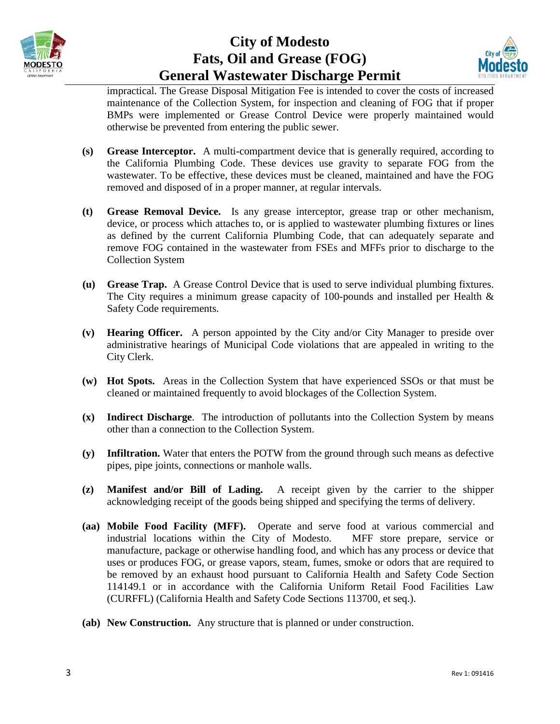



impractical. The Grease Disposal Mitigation Fee is intended to cover the costs of increased maintenance of the Collection System, for inspection and cleaning of FOG that if proper BMPs were implemented or Grease Control Device were properly maintained would otherwise be prevented from entering the public sewer.

- **(s) Grease Interceptor.** A multi-compartment device that is generally required, according to the California Plumbing Code. These devices use gravity to separate FOG from the wastewater. To be effective, these devices must be cleaned, maintained and have the FOG removed and disposed of in a proper manner, at regular intervals.
- **(t) Grease Removal Device.** Is any grease interceptor, grease trap or other mechanism, device, or process which attaches to, or is applied to wastewater plumbing fixtures or lines as defined by the current California Plumbing Code, that can adequately separate and remove FOG contained in the wastewater from FSEs and MFFs prior to discharge to the Collection System
- **(u) Grease Trap.** A Grease Control Device that is used to serve individual plumbing fixtures. The City requires a minimum grease capacity of 100-pounds and installed per Health & Safety Code requirements.
- **(v) Hearing Officer.** A person appointed by the City and/or City Manager to preside over administrative hearings of Municipal Code violations that are appealed in writing to the City Clerk.
- **(w) Hot Spots.** Areas in the Collection System that have experienced SSOs or that must be cleaned or maintained frequently to avoid blockages of the Collection System.
- **(x) Indirect Discharge**. The introduction of pollutants into the Collection System by means other than a connection to the Collection System.
- **(y) Infiltration.** Water that enters the POTW from the ground through such means as defective pipes, pipe joints, connections or manhole walls.
- **(z) Manifest and/or Bill of Lading.** A receipt given by the carrier to the shipper acknowledging receipt of the goods being shipped and specifying the terms of delivery.
- **(aa) Mobile Food Facility (MFF).** Operate and serve food at various commercial and industrial locations within the City of Modesto. MFF store prepare, service or manufacture, package or otherwise handling food, and which has any process or device that uses or produces FOG, or grease vapors, steam, fumes, smoke or odors that are required to be removed by an exhaust hood pursuant to California Health and Safety Code Section 114149.1 or in accordance with the California Uniform Retail Food Facilities Law (CURFFL) (California Health and Safety Code Sections 113700, et seq.).
- **(ab) New Construction.** Any structure that is planned or under construction.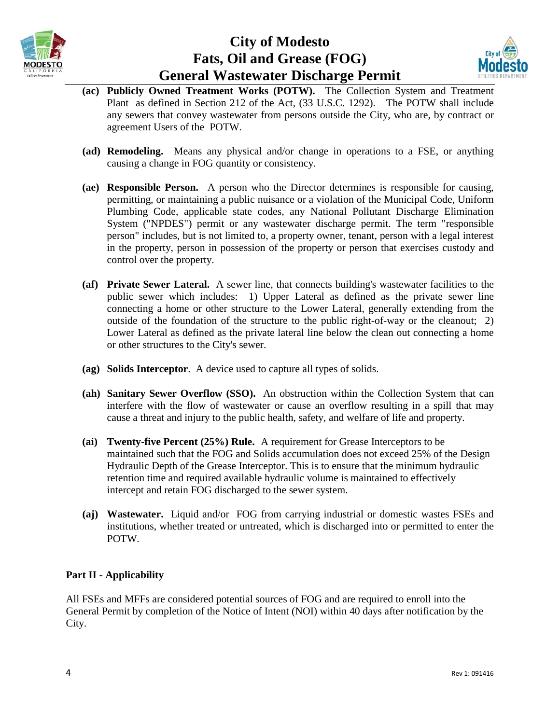



- **(ac) Publicly Owned Treatment Works (POTW).** The Collection System and Treatment Plant as defined in Section 212 of the Act, (33 U.S.C. 1292). The POTW shall include any sewers that convey wastewater from persons outside the City, who are, by contract or agreement Users of the POTW.
- **(ad) Remodeling.** Means any physical and/or change in operations to a FSE, or anything causing a change in FOG quantity or consistency.
- **(ae) Responsible Person.** A person who the Director determines is responsible for causing, permitting, or maintaining a public nuisance or a violation of the Municipal Code, Uniform Plumbing Code, applicable state codes, any National Pollutant Discharge Elimination System ("NPDES") permit or any wastewater discharge permit. The term "responsible person" includes, but is not limited to, a property owner, tenant, person with a legal interest in the property, person in possession of the property or person that exercises custody and control over the property.
- **(af) Private Sewer Lateral.** A sewer line, that connects building's wastewater facilities to the public sewer which includes: 1) Upper Lateral as defined as the private sewer line connecting a home or other structure to the Lower Lateral, generally extending from the outside of the foundation of the structure to the public right-of-way or the cleanout; 2) Lower Lateral as defined as the private lateral line below the clean out connecting a home or other structures to the City's sewer.
- **(ag) Solids Interceptor**. A device used to capture all types of solids.
- **(ah) Sanitary Sewer Overflow (SSO).** An obstruction within the Collection System that can interfere with the flow of wastewater or cause an overflow resulting in a spill that may cause a threat and injury to the public health, safety, and welfare of life and property.
- **(ai) Twenty-five Percent (25%) Rule.** A requirement for Grease Interceptors to be maintained such that the FOG and Solids accumulation does not exceed 25% of the Design Hydraulic Depth of the Grease Interceptor. This is to ensure that the minimum hydraulic retention time and required available hydraulic volume is maintained to effectively intercept and retain FOG discharged to the sewer system.
- **(aj) Wastewater.** Liquid and/or FOG from carrying industrial or domestic wastes FSEs and institutions, whether treated or untreated, which is discharged into or permitted to enter the POTW.

### **Part II - Applicability**

All FSEs and MFFs are considered potential sources of FOG and are required to enroll into the General Permit by completion of the Notice of Intent (NOI) within 40 days after notification by the City.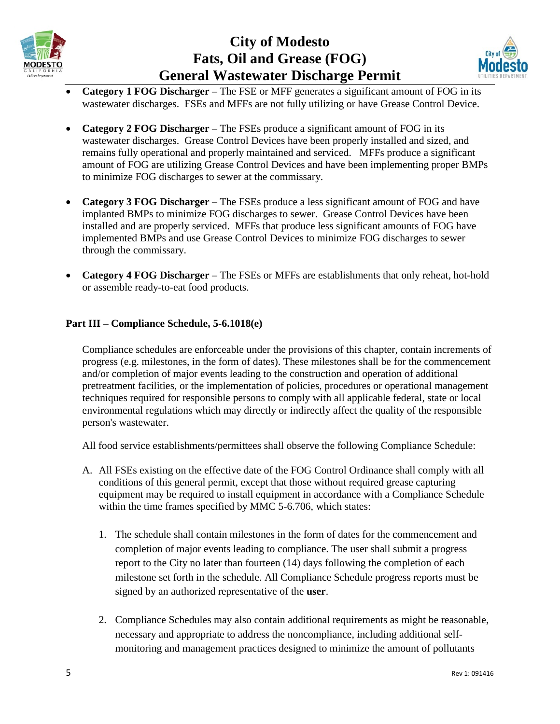



- **Category 1 FOG Discharger**  The FSE or MFF generates a significant amount of FOG in its wastewater discharges. FSEs and MFFs are not fully utilizing or have Grease Control Device.
- **Category 2 FOG Discharger**  The FSEs produce a significant amount of FOG in its wastewater discharges. Grease Control Devices have been properly installed and sized, and remains fully operational and properly maintained and serviced. MFFs produce a significant amount of FOG are utilizing Grease Control Devices and have been implementing proper BMPs to minimize FOG discharges to sewer at the commissary.
- **Category 3 FOG Discharger**  The FSEs produce a less significant amount of FOG and have implanted BMPs to minimize FOG discharges to sewer. Grease Control Devices have been installed and are properly serviced. MFFs that produce less significant amounts of FOG have implemented BMPs and use Grease Control Devices to minimize FOG discharges to sewer through the commissary.
- **Category 4 FOG Discharger**  The FSEs or MFFs are establishments that only reheat, hot-hold or assemble ready-to-eat food products.

### **Part III – Compliance Schedule, 5-6.1018(e)**

Compliance schedules are enforceable under the provisions of this chapter, contain increments of progress (e.g. milestones, in the form of dates). These milestones shall be for the commencement and/or completion of major events leading to the construction and operation of additional pretreatment facilities, or the implementation of policies, procedures or operational management techniques required for responsible persons to comply with all applicable federal, state or local environmental regulations which may directly or indirectly affect the quality of the responsible person's wastewater.

All food service establishments/permittees shall observe the following Compliance Schedule:

- A. All FSEs existing on the effective date of the FOG Control Ordinance shall comply with all conditions of this general permit, except that those without required grease capturing equipment may be required to install equipment in accordance with a Compliance Schedule within the time frames specified by MMC 5-6.706, which states:
	- 1. The schedule shall contain milestones in the form of dates for the commencement and completion of major events leading to compliance. The user shall submit a progress report to the City no later than fourteen (14) days following the completion of each milestone set forth in the schedule. All Compliance Schedule progress reports must be signed by an authorized representative of the **user**.
	- 2. Compliance Schedules may also contain additional requirements as might be reasonable, necessary and appropriate to address the noncompliance, including additional selfmonitoring and management practices designed to minimize the amount of pollutants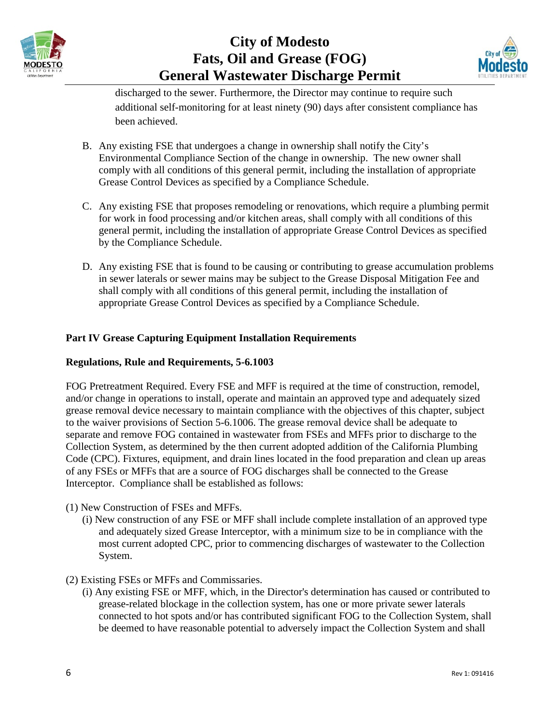



discharged to the sewer. Furthermore, the Director may continue to require such additional self-monitoring for at least ninety (90) days after consistent compliance has been achieved.

- B. Any existing FSE that undergoes a change in ownership shall notify the City's Environmental Compliance Section of the change in ownership. The new owner shall comply with all conditions of this general permit, including the installation of appropriate Grease Control Devices as specified by a Compliance Schedule.
- C. Any existing FSE that proposes remodeling or renovations, which require a plumbing permit for work in food processing and/or kitchen areas, shall comply with all conditions of this general permit, including the installation of appropriate Grease Control Devices as specified by the Compliance Schedule.
- D. Any existing FSE that is found to be causing or contributing to grease accumulation problems in sewer laterals or sewer mains may be subject to the Grease Disposal Mitigation Fee and shall comply with all conditions of this general permit, including the installation of appropriate Grease Control Devices as specified by a Compliance Schedule.

## **Part IV Grease Capturing Equipment Installation Requirements**

### **Regulations, Rule and Requirements, 5-6.1003**

FOG Pretreatment Required. Every FSE and MFF is required at the time of construction, remodel, and/or change in operations to install, operate and maintain an approved type and adequately sized grease removal device necessary to maintain compliance with the objectives of this chapter, subject to the waiver provisions of Section 5-6.1006. The grease removal device shall be adequate to separate and remove FOG contained in wastewater from FSEs and MFFs prior to discharge to the Collection System, as determined by the then current adopted addition of the California Plumbing Code (CPC). Fixtures, equipment, and drain lines located in the food preparation and clean up areas of any FSEs or MFFs that are a source of FOG discharges shall be connected to the Grease Interceptor. Compliance shall be established as follows:

- (1) New Construction of FSEs and MFFs.
	- (i) New construction of any FSE or MFF shall include complete installation of an approved type and adequately sized Grease Interceptor, with a minimum size to be in compliance with the most current adopted CPC, prior to commencing discharges of wastewater to the Collection System.
- (2) Existing FSEs or MFFs and Commissaries.
	- (i) Any existing FSE or MFF, which, in the Director's determination has caused or contributed to grease-related blockage in the collection system, has one or more private sewer laterals connected to hot spots and/or has contributed significant FOG to the Collection System, shall be deemed to have reasonable potential to adversely impact the Collection System and shall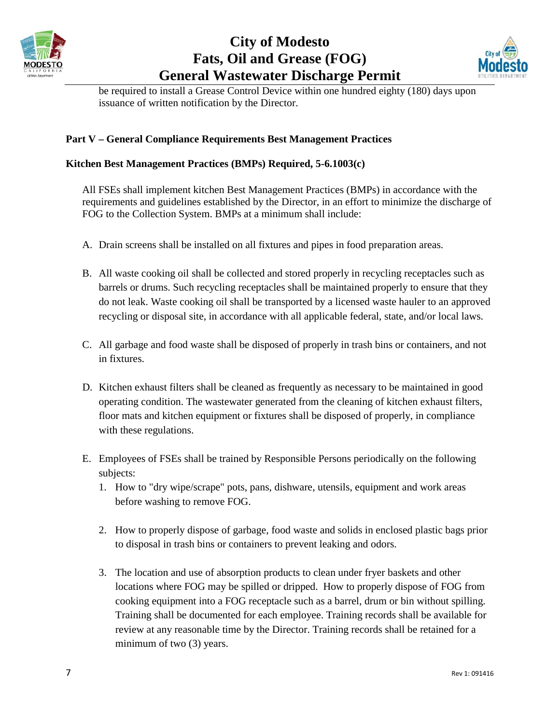



be required to install a Grease Control Device within one hundred eighty (180) days upon issuance of written notification by the Director.

### **Part V – General Compliance Requirements Best Management Practices**

### **Kitchen Best Management Practices (BMPs) Required, 5-6.1003(c)**

All FSEs shall implement kitchen Best Management Practices (BMPs) in accordance with the requirements and guidelines established by the Director, in an effort to minimize the discharge of FOG to the Collection System. BMPs at a minimum shall include:

- A. Drain screens shall be installed on all fixtures and pipes in food preparation areas.
- B. All waste cooking oil shall be collected and stored properly in recycling receptacles such as barrels or drums. Such recycling receptacles shall be maintained properly to ensure that they do not leak. Waste cooking oil shall be transported by a licensed waste hauler to an approved recycling or disposal site, in accordance with all applicable federal, state, and/or local laws.
- C. All garbage and food waste shall be disposed of properly in trash bins or containers, and not in fixtures.
- D. Kitchen exhaust filters shall be cleaned as frequently as necessary to be maintained in good operating condition. The wastewater generated from the cleaning of kitchen exhaust filters, floor mats and kitchen equipment or fixtures shall be disposed of properly, in compliance with these regulations.
- E. Employees of FSEs shall be trained by Responsible Persons periodically on the following subjects:
	- 1. How to "dry wipe/scrape" pots, pans, dishware, utensils, equipment and work areas before washing to remove FOG.
	- 2. How to properly dispose of garbage, food waste and solids in enclosed plastic bags prior to disposal in trash bins or containers to prevent leaking and odors.
	- 3. The location and use of absorption products to clean under fryer baskets and other locations where FOG may be spilled or dripped. How to properly dispose of FOG from cooking equipment into a FOG receptacle such as a barrel, drum or bin without spilling. Training shall be documented for each employee. Training records shall be available for review at any reasonable time by the Director. Training records shall be retained for a minimum of two (3) years.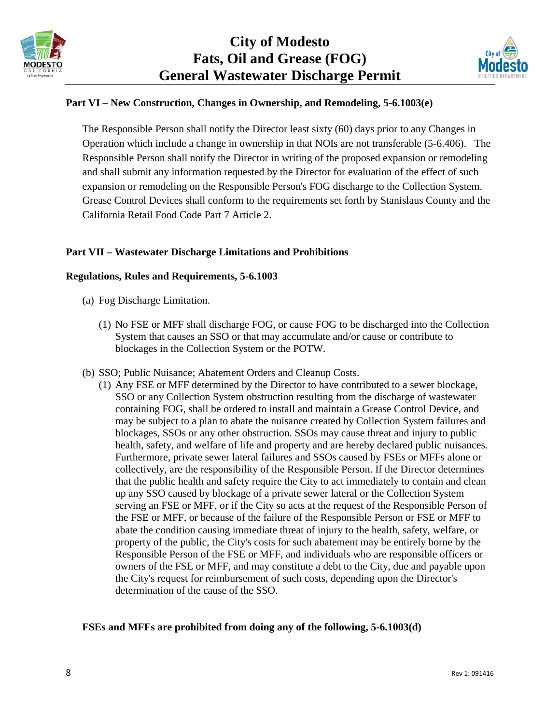



### **Part VI – New Construction, Changes in Ownership, and Remodeling, 5-6.1003(e)**

The Responsible Person shall notify the Director least sixty (60) days prior to any Changes in Operation which include a change in ownership in that NOIs are not transferable (5-6.406). The Responsible Person shall notify the Director in writing of the proposed expansion or remodeling and shall submit any information requested by the Director for evaluation of the effect of such expansion or remodeling on the Responsible Person's FOG discharge to the Collection System. Grease Control Devices shall conform to the requirements set forth by Stanislaus County and the California Retail Food Code Part 7 Article 2.

### **Part VII – Wastewater Discharge Limitations and Prohibitions**

#### **Regulations, Rules and Requirements, 5-6.1003**

- (a) Fog Discharge Limitation.
	- (1) No FSE or MFF shall discharge FOG, or cause FOG to be discharged into the Collection System that causes an SSO or that may accumulate and/or cause or contribute to blockages in the Collection System or the POTW.
- (b) SSO; Public Nuisance; Abatement Orders and Cleanup Costs.
	- (1) Any FSE or MFF determined by the Director to have contributed to a sewer blockage, SSO or any Collection System obstruction resulting from the discharge of wastewater containing FOG, shall be ordered to install and maintain a Grease Control Device, and may be subject to a plan to abate the nuisance created by Collection System failures and blockages, SSOs or any other obstruction. SSOs may cause threat and injury to public health, safety, and welfare of life and property and are hereby declared public nuisances. Furthermore, private sewer lateral failures and SSOs caused by FSEs or MFFs alone or collectively, are the responsibility of the Responsible Person. If the Director determines that the public health and safety require the City to act immediately to contain and clean up any SSO caused by blockage of a private sewer lateral or the Collection System serving an FSE or MFF, or if the City so acts at the request of the Responsible Person of the FSE or MFF, or because of the failure of the Responsible Person or FSE or MFF to abate the condition causing immediate threat of injury to the health, safety, welfare, or property of the public, the City's costs for such abatement may be entirely borne by the Responsible Person of the FSE or MFF, and individuals who are responsible officers or owners of the FSE or MFF, and may constitute a debt to the City, due and payable upon the City's request for reimbursement of such costs, depending upon the Director's determination of the cause of the SSO.

#### **FSEs and MFFs are prohibited from doing any of the following, 5-6.1003(d)**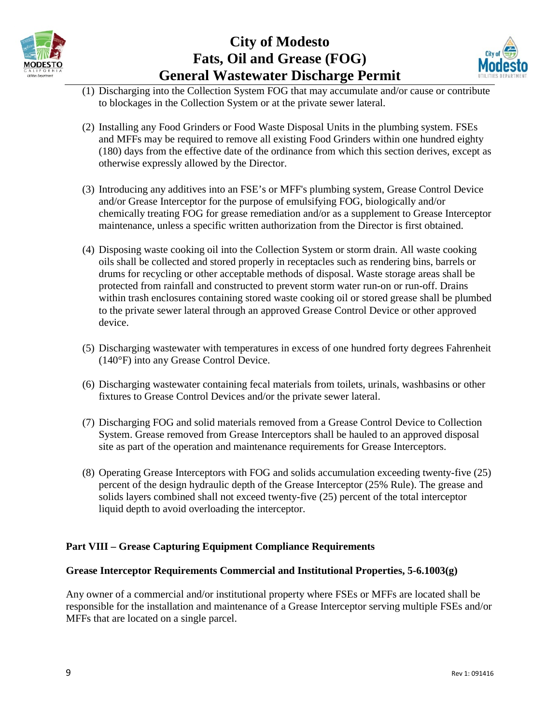



- (1) Discharging into the Collection System FOG that may accumulate and/or cause or contribute to blockages in the Collection System or at the private sewer lateral.
- (2) Installing any Food Grinders or Food Waste Disposal Units in the plumbing system. FSEs and MFFs may be required to remove all existing Food Grinders within one hundred eighty (180) days from the effective date of the ordinance from which this section derives, except as otherwise expressly allowed by the Director.
- (3) Introducing any additives into an FSE's or MFF's plumbing system, Grease Control Device and/or Grease Interceptor for the purpose of emulsifying FOG, biologically and/or chemically treating FOG for grease remediation and/or as a supplement to Grease Interceptor maintenance, unless a specific written authorization from the Director is first obtained.
- (4) Disposing waste cooking oil into the Collection System or storm drain. All waste cooking oils shall be collected and stored properly in receptacles such as rendering bins, barrels or drums for recycling or other acceptable methods of disposal. Waste storage areas shall be protected from rainfall and constructed to prevent storm water run-on or run-off. Drains within trash enclosures containing stored waste cooking oil or stored grease shall be plumbed to the private sewer lateral through an approved Grease Control Device or other approved device.
- (5) Discharging wastewater with temperatures in excess of one hundred forty degrees Fahrenheit (140°F) into any Grease Control Device.
- (6) Discharging wastewater containing fecal materials from toilets, urinals, washbasins or other fixtures to Grease Control Devices and/or the private sewer lateral.
- (7) Discharging FOG and solid materials removed from a Grease Control Device to Collection System. Grease removed from Grease Interceptors shall be hauled to an approved disposal site as part of the operation and maintenance requirements for Grease Interceptors.
- (8) Operating Grease Interceptors with FOG and solids accumulation exceeding twenty-five (25) percent of the design hydraulic depth of the Grease Interceptor (25% Rule). The grease and solids layers combined shall not exceed twenty-five (25) percent of the total interceptor liquid depth to avoid overloading the interceptor.

## **Part VIII – Grease Capturing Equipment Compliance Requirements**

### **Grease Interceptor Requirements Commercial and Institutional Properties, 5-6.1003(g)**

Any owner of a commercial and/or institutional property where FSEs or MFFs are located shall be responsible for the installation and maintenance of a Grease Interceptor serving multiple FSEs and/or MFFs that are located on a single parcel.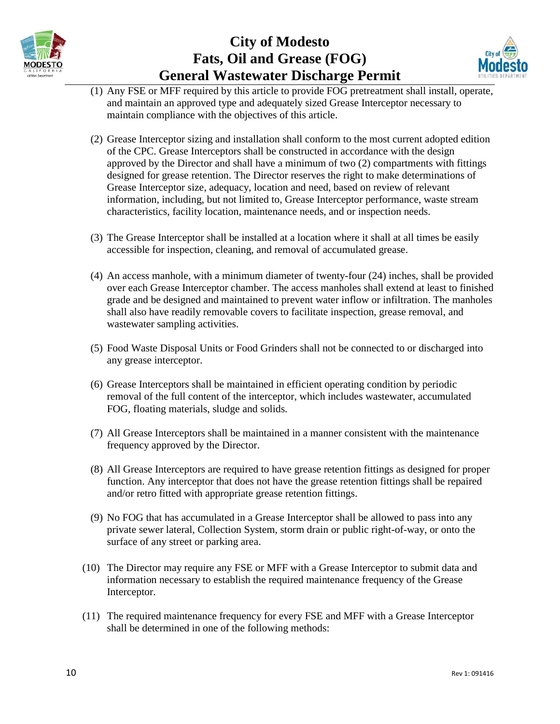



- (1) Any FSE or MFF required by this article to provide FOG pretreatment shall install, operate, and maintain an approved type and adequately sized Grease Interceptor necessary to maintain compliance with the objectives of this article.
- (2) Grease Interceptor sizing and installation shall conform to the most current adopted edition of the CPC. Grease Interceptors shall be constructed in accordance with the design approved by the Director and shall have a minimum of two (2) compartments with fittings designed for grease retention. The Director reserves the right to make determinations of Grease Interceptor size, adequacy, location and need, based on review of relevant information, including, but not limited to, Grease Interceptor performance, waste stream characteristics, facility location, maintenance needs, and or inspection needs.
- (3) The Grease Interceptor shall be installed at a location where it shall at all times be easily accessible for inspection, cleaning, and removal of accumulated grease.
- (4) An access manhole, with a minimum diameter of twenty-four (24) inches, shall be provided over each Grease Interceptor chamber. The access manholes shall extend at least to finished grade and be designed and maintained to prevent water inflow or infiltration. The manholes shall also have readily removable covers to facilitate inspection, grease removal, and wastewater sampling activities.
- (5) Food Waste Disposal Units or Food Grinders shall not be connected to or discharged into any grease interceptor.
- (6) Grease Interceptors shall be maintained in efficient operating condition by periodic removal of the full content of the interceptor, which includes wastewater, accumulated FOG, floating materials, sludge and solids.
- (7) All Grease Interceptors shall be maintained in a manner consistent with the maintenance frequency approved by the Director.
- (8) All Grease Interceptors are required to have grease retention fittings as designed for proper function. Any interceptor that does not have the grease retention fittings shall be repaired and/or retro fitted with appropriate grease retention fittings.
- (9) No FOG that has accumulated in a Grease Interceptor shall be allowed to pass into any private sewer lateral, Collection System, storm drain or public right-of-way, or onto the surface of any street or parking area.
- (10) The Director may require any FSE or MFF with a Grease Interceptor to submit data and information necessary to establish the required maintenance frequency of the Grease Interceptor.
- (11) The required maintenance frequency for every FSE and MFF with a Grease Interceptor shall be determined in one of the following methods: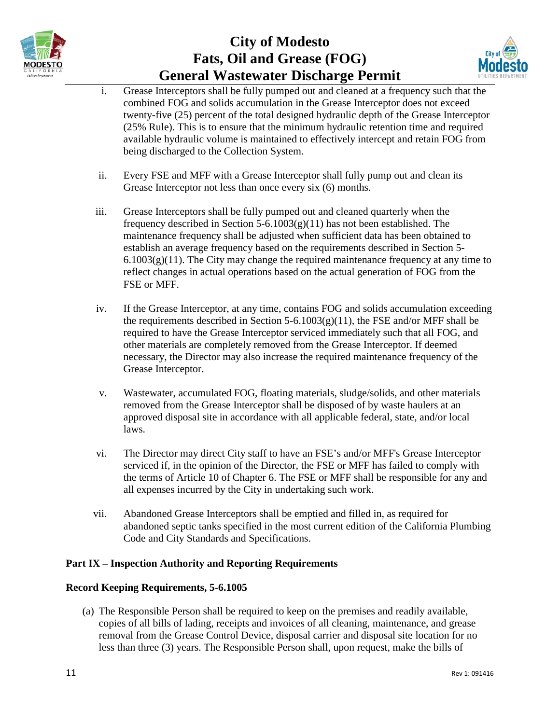



- i. Grease Interceptors shall be fully pumped out and cleaned at a frequency such that the combined FOG and solids accumulation in the Grease Interceptor does not exceed twenty-five (25) percent of the total designed hydraulic depth of the Grease Interceptor (25% Rule). This is to ensure that the minimum hydraulic retention time and required available hydraulic volume is maintained to effectively intercept and retain FOG from being discharged to the Collection System.
- ii. Every FSE and MFF with a Grease Interceptor shall fully pump out and clean its Grease Interceptor not less than once every six (6) months.
- iii. Grease Interceptors shall be fully pumped out and cleaned quarterly when the frequency described in Section 5-6.1003(g)(11) has not been established. The maintenance frequency shall be adjusted when sufficient data has been obtained to establish an average frequency based on the requirements described in Section 5-  $6.1003(g)(11)$ . The City may change the required maintenance frequency at any time to reflect changes in actual operations based on the actual generation of FOG from the FSE or MFF.
- iv. If the Grease Interceptor, at any time, contains FOG and solids accumulation exceeding the requirements described in Section 5-6.1003(g)(11), the FSE and/or MFF shall be required to have the Grease Interceptor serviced immediately such that all FOG, and other materials are completely removed from the Grease Interceptor. If deemed necessary, the Director may also increase the required maintenance frequency of the Grease Interceptor.
- v. Wastewater, accumulated FOG, floating materials, sludge/solids, and other materials removed from the Grease Interceptor shall be disposed of by waste haulers at an approved disposal site in accordance with all applicable federal, state, and/or local laws.
- vi. The Director may direct City staff to have an FSE's and/or MFF's Grease Interceptor serviced if, in the opinion of the Director, the FSE or MFF has failed to comply with the terms of Article 10 of Chapter 6. The FSE or MFF shall be responsible for any and all expenses incurred by the City in undertaking such work.
- vii. Abandoned Grease Interceptors shall be emptied and filled in, as required for abandoned septic tanks specified in the most current edition of the California Plumbing Code and City Standards and Specifications.

## **Part IX – Inspection Authority and Reporting Requirements**

### **Record Keeping Requirements, 5-6.1005**

(a) The Responsible Person shall be required to keep on the premises and readily available, copies of all bills of lading, receipts and invoices of all cleaning, maintenance, and grease removal from the Grease Control Device, disposal carrier and disposal site location for no less than three (3) years. The Responsible Person shall, upon request, make the bills of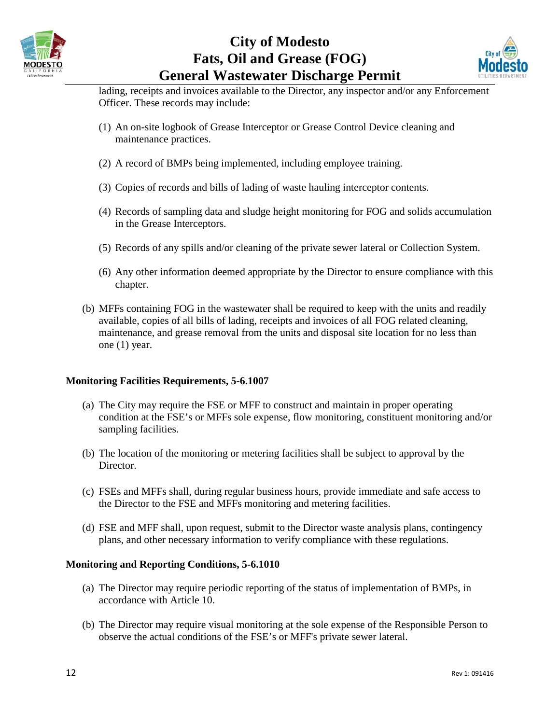



lading, receipts and invoices available to the Director, any inspector and/or any Enforcement Officer. These records may include:

- (1) An on-site logbook of Grease Interceptor or Grease Control Device cleaning and maintenance practices.
- (2) A record of BMPs being implemented, including employee training.
- (3) Copies of records and bills of lading of waste hauling interceptor contents.
- (4) Records of sampling data and sludge height monitoring for FOG and solids accumulation in the Grease Interceptors.
- (5) Records of any spills and/or cleaning of the private sewer lateral or Collection System.
- (6) Any other information deemed appropriate by the Director to ensure compliance with this chapter.
- (b) MFFs containing FOG in the wastewater shall be required to keep with the units and readily available, copies of all bills of lading, receipts and invoices of all FOG related cleaning, maintenance, and grease removal from the units and disposal site location for no less than one (1) year.

### **Monitoring Facilities Requirements, 5-6.1007**

- (a) The City may require the FSE or MFF to construct and maintain in proper operating condition at the FSE's or MFFs sole expense, flow monitoring, constituent monitoring and/or sampling facilities.
- (b) The location of the monitoring or metering facilities shall be subject to approval by the Director.
- (c) FSEs and MFFs shall, during regular business hours, provide immediate and safe access to the Director to the FSE and MFFs monitoring and metering facilities.
- (d) FSE and MFF shall, upon request, submit to the Director waste analysis plans, contingency plans, and other necessary information to verify compliance with these regulations.

### **Monitoring and Reporting Conditions, 5-6.1010**

- (a) The Director may require periodic reporting of the status of implementation of BMPs, in accordance with Article 10.
- (b) The Director may require visual monitoring at the sole expense of the Responsible Person to observe the actual conditions of the FSE's or MFF's private sewer lateral.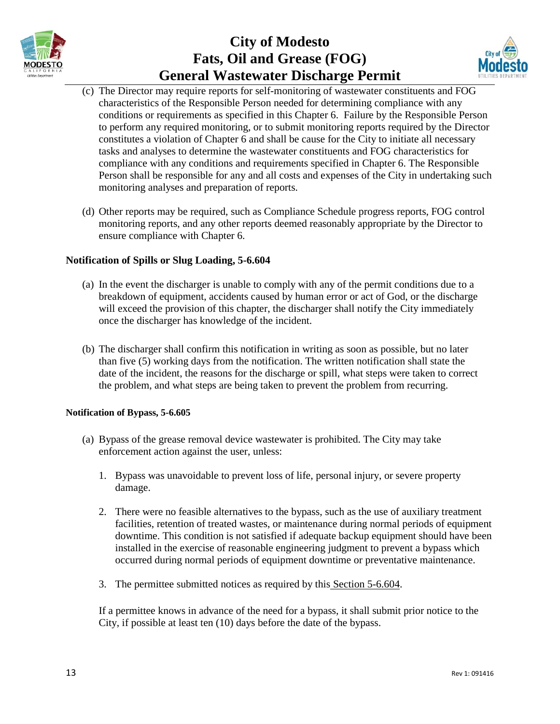



- (c) The Director may require reports for self-monitoring of wastewater constituents and FOG characteristics of the Responsible Person needed for determining compliance with any conditions or requirements as specified in this Chapter 6. Failure by the Responsible Person to perform any required monitoring, or to submit monitoring reports required by the Director constitutes a violation of Chapter 6 and shall be cause for the City to initiate all necessary tasks and analyses to determine the wastewater constituents and FOG characteristics for compliance with any conditions and requirements specified in Chapter 6. The Responsible Person shall be responsible for any and all costs and expenses of the City in undertaking such monitoring analyses and preparation of reports.
- (d) Other reports may be required, such as Compliance Schedule progress reports, FOG control monitoring reports, and any other reports deemed reasonably appropriate by the Director to ensure compliance with Chapter 6.

### **Notification of Spills or Slug Loading, 5-6.604**

- (a) In the event the discharger is unable to comply with any of the permit conditions due to a breakdown of equipment, accidents caused by human error or act of God, or the discharge will exceed the provision of this chapter, the discharger shall notify the City immediately once the discharger has knowledge of the incident.
- (b) The discharger shall confirm this notification in writing as soon as possible, but no later than five (5) working days from the notification. The written notification shall state the date of the incident, the reasons for the discharge or spill, what steps were taken to correct the problem, and what steps are being taken to prevent the problem from recurring.

#### **Notification of Bypass, 5-6.605**

- (a) Bypass of the grease removal device wastewater is prohibited. The City may take enforcement action against the user, unless:
	- 1. Bypass was unavoidable to prevent loss of life, personal injury, or severe property damage.
	- 2. There were no feasible alternatives to the bypass, such as the use of auxiliary treatment facilities, retention of treated wastes, or maintenance during normal periods of equipment downtime. This condition is not satisfied if adequate backup equipment should have been installed in the exercise of reasonable engineering judgment to prevent a bypass which occurred during normal periods of equipment downtime or preventative maintenance.
	- 3. The permittee submitted notices as required by this Section 5-6.604.

If a permittee knows in advance of the need for a bypass, it shall submit prior notice to the City, if possible at least ten (10) days before the date of the bypass.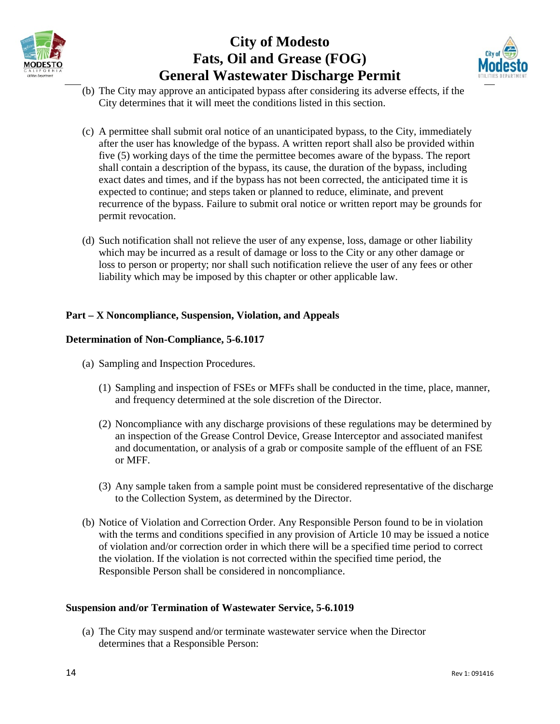



- (b) The City may approve an anticipated bypass after considering its adverse effects, if the City determines that it will meet the conditions listed in this section.
- (c) A permittee shall submit oral notice of an unanticipated bypass, to the City, immediately after the user has knowledge of the bypass. A written report shall also be provided within five (5) working days of the time the permittee becomes aware of the bypass. The report shall contain a description of the bypass, its cause, the duration of the bypass, including exact dates and times, and if the bypass has not been corrected, the anticipated time it is expected to continue; and steps taken or planned to reduce, eliminate, and prevent recurrence of the bypass. Failure to submit oral notice or written report may be grounds for permit revocation.
- (d) Such notification shall not relieve the user of any expense, loss, damage or other liability which may be incurred as a result of damage or loss to the City or any other damage or loss to person or property; nor shall such notification relieve the user of any fees or other liability which may be imposed by this chapter or other applicable law.

### **Part – X Noncompliance, Suspension, Violation, and Appeals**

### **Determination of Non-Compliance, 5-6.1017**

- (a) Sampling and Inspection Procedures.
	- (1) Sampling and inspection of FSEs or MFFs shall be conducted in the time, place, manner, and frequency determined at the sole discretion of the Director.
	- (2) Noncompliance with any discharge provisions of these regulations may be determined by an inspection of the Grease Control Device, Grease Interceptor and associated manifest and documentation, or analysis of a grab or composite sample of the effluent of an FSE or MFF.
	- (3) Any sample taken from a sample point must be considered representative of the discharge to the Collection System, as determined by the Director.
- (b) Notice of Violation and Correction Order. Any Responsible Person found to be in violation with the terms and conditions specified in any provision of Article 10 may be issued a notice of violation and/or correction order in which there will be a specified time period to correct the violation. If the violation is not corrected within the specified time period, the Responsible Person shall be considered in noncompliance.

#### **Suspension and/or Termination of Wastewater Service, 5-6.1019**

(a) The City may suspend and/or terminate wastewater service when the Director determines that a Responsible Person: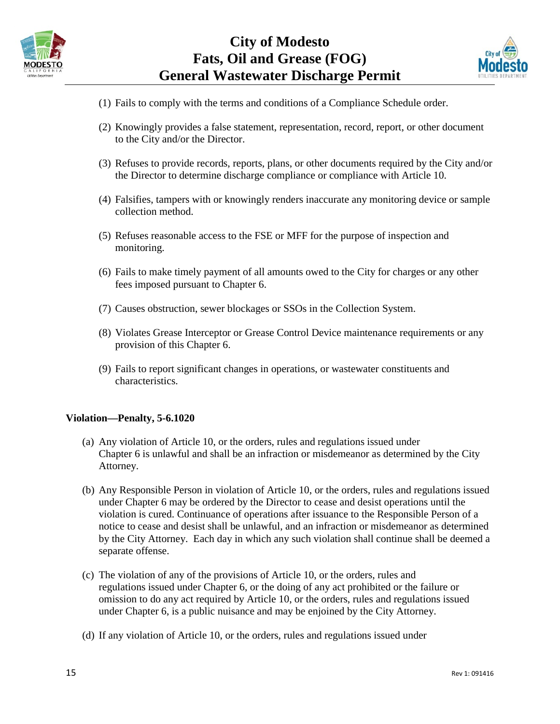



- (1) Fails to comply with the terms and conditions of a Compliance Schedule order.
- (2) Knowingly provides a false statement, representation, record, report, or other document to the City and/or the Director.
- (3) Refuses to provide records, reports, plans, or other documents required by the City and/or the Director to determine discharge compliance or compliance with Article 10.
- (4) Falsifies, tampers with or knowingly renders inaccurate any monitoring device or sample collection method.
- (5) Refuses reasonable access to the FSE or MFF for the purpose of inspection and monitoring.
- (6) Fails to make timely payment of all amounts owed to the City for charges or any other fees imposed pursuant to Chapter 6.
- (7) Causes obstruction, sewer blockages or SSOs in the Collection System.
- (8) Violates Grease Interceptor or Grease Control Device maintenance requirements or any provision of this Chapter 6.
- (9) Fails to report significant changes in operations, or wastewater constituents and characteristics.

#### **Violation—Penalty, 5-6.1020**

- (a) Any violation of Article 10, or the orders, rules and regulations issued under Chapter 6 is unlawful and shall be an infraction or misdemeanor as determined by the City Attorney.
- (b) Any Responsible Person in violation of Article 10, or the orders, rules and regulations issued under Chapter 6 may be ordered by the Director to cease and desist operations until the violation is cured. Continuance of operations after issuance to the Responsible Person of a notice to cease and desist shall be unlawful, and an infraction or misdemeanor as determined by the City Attorney. Each day in which any such violation shall continue shall be deemed a separate offense.
- (c) The violation of any of the provisions of Article 10, or the orders, rules and regulations issued under Chapter 6, or the doing of any act prohibited or the failure or omission to do any act required by Article 10, or the orders, rules and regulations issued under Chapter 6, is a public nuisance and may be enjoined by the City Attorney.
- (d) If any violation of Article 10, or the orders, rules and regulations issued under